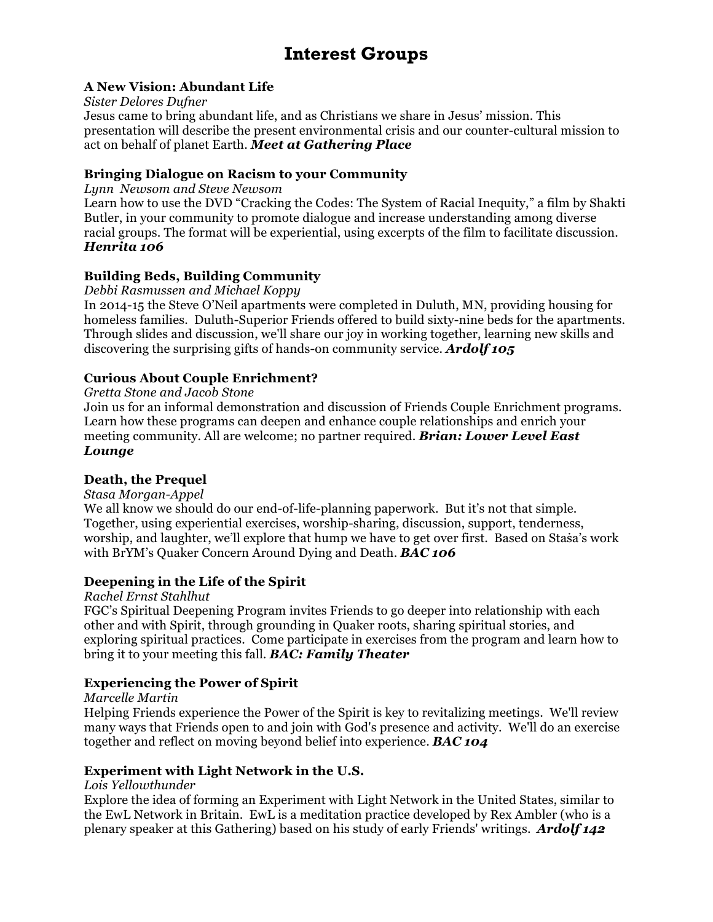# **Interest Groups**

### **A New Vision: Abundant Life**

#### *Sister Delores Dufner*

Jesus came to bring abundant life, and as Christians we share in Jesus' mission. This presentation will describe the present environmental crisis and our counter-cultural mission to act on behalf of planet Earth. *Meet at Gathering Place*

#### **Bringing Dialogue on Racism to your Community**

*Lynn Newsom and Steve Newsom*

Learn how to use the DVD "Cracking the Codes: The System of Racial Inequity," a film by Shakti Butler, in your community to promote dialogue and increase understanding among diverse racial groups. The format will be experiential, using excerpts of the film to facilitate discussion. *Henrita 106*

### **Building Beds, Building Community**

#### *Debbi Rasmussen and Michael Koppy*

In 2014-15 the Steve O'Neil apartments were completed in Duluth, MN, providing housing for homeless families. Duluth-Superior Friends offered to build sixty-nine beds for the apartments. Through slides and discussion, we'll share our joy in working together, learning new skills and discovering the surprising gifts of hands-on community service. *Ardolf 105*

### **Curious About Couple Enrichment?**

*Gretta Stone and Jacob Stone*

Join us for an informal demonstration and discussion of Friends Couple Enrichment programs. Learn how these programs can deepen and enhance couple relationships and enrich your meeting community. All are welcome; no partner required. *Brian: Lower Level East Lounge*

### **Death, the Prequel**

*Stasa Morgan-Appel* 

We all know we should do our end-of-life-planning paperwork. But it's not that simple. Together, using experiential exercises, worship-sharing, discussion, support, tenderness, worship, and laughter, we'll explore that hump we have to get over first. Based on Staṡa's work with BrYM's Quaker Concern Around Dying and Death. *BAC 106*

### **Deepening in the Life of the Spirit**

*Rachel Ernst Stahlhut* 

FGC's Spiritual Deepening Program invites Friends to go deeper into relationship with each other and with Spirit, through grounding in Quaker roots, sharing spiritual stories, and exploring spiritual practices. Come participate in exercises from the program and learn how to bring it to your meeting this fall. *BAC: Family Theater*

### **Experiencing the Power of Spirit**

*Marcelle Martin* 

Helping Friends experience the Power of the Spirit is key to revitalizing meetings. We'll review many ways that Friends open to and join with God's presence and activity. We'll do an exercise together and reflect on moving beyond belief into experience. *BAC 104*

### **Experiment with Light Network in the U.S.**

#### *Lois Yellowthunder*

Explore the idea of forming an Experiment with Light Network in the United States, similar to the EwL Network in Britain. EwL is a meditation practice developed by Rex Ambler (who is a plenary speaker at this Gathering) based on his study of early Friends' writings. *Ardolf 142*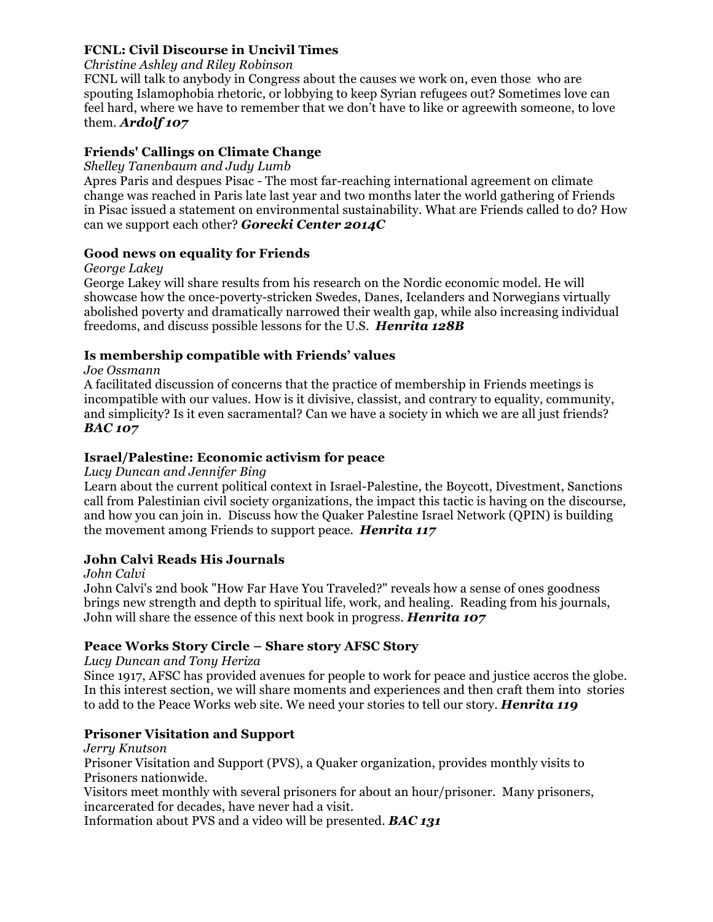### **FCNL: Civil Discourse in Uncivil Times**

#### *Christine Ashley and Riley Robinson*

FCNL will talk to anybody in Congress about the causes we work on, even those who are spouting Islamophobia rhetoric, or lobbying to keep Syrian refugees out? Sometimes love can feel hard, where we have to remember that we don't have to like or agreewith someone, to love them. *Ardolf 107*

### **Friends' Callings on Climate Change**

#### *Shelley Tanenbaum and Judy Lumb*

Apres Paris and despues Pisac - The most far-reaching international agreement on climate change was reached in Paris late last year and two months later the world gathering of Friends in Pisac issued a statement on environmental sustainability. What are Friends called to do? How can we support each other? *Gorecki Center 2014C*

### **Good news on equality for Friends**

#### *George Lakey*

George Lakey will share results from his research on the Nordic economic model. He will showcase how the once-poverty-stricken Swedes, Danes, Icelanders and Norwegians virtually abolished poverty and dramatically narrowed their wealth gap, while also increasing individual freedoms, and discuss possible lessons for the U.S. *Henrita 128B*

### **Is membership compatible with Friends' values**

#### *Joe Ossmann*

A facilitated discussion of concerns that the practice of membership in Friends meetings is incompatible with our values. How is it divisive, classist, and contrary to equality, community, and simplicity? Is it even sacramental? Can we have a society in which we are all just friends? *BAC 107*

### **Israel/Palestine: Economic activism for peace**

### *Lucy Duncan and Jennifer Bing*

Learn about the current political context in Israel-Palestine, the Boycott, Divestment, Sanctions call from Palestinian civil society organizations, the impact this tactic is having on the discourse, and how you can join in. Discuss how the Quaker Palestine Israel Network (QPIN) is building the movement among Friends to support peace. *Henrita 117*

### **John Calvi Reads His Journals**

*John Calvi* 

John Calvi's 2nd book "How Far Have You Traveled?" reveals how a sense of ones goodness brings new strength and depth to spiritual life, work, and healing. Reading from his journals, John will share the essence of this next book in progress. *Henrita 107*

### **Peace Works Story Circle – Share story AFSC Story**

### *Lucy Duncan and Tony Heriza*

Since 1917, AFSC has provided avenues for people to work for peace and justice accros the globe. In this interest section, we will share moments and experiences and then craft them into stories to add to the Peace Works web site. We need your stories to tell our story. *Henrita 119*

### **Prisoner Visitation and Support**

*Jerry Knutson*  Prisoner Visitation and Support (PVS), a Quaker organization, provides monthly visits to Prisoners nationwide.

Visitors meet monthly with several prisoners for about an hour/prisoner. Many prisoners, incarcerated for decades, have never had a visit.

Information about PVS and a video will be presented. *BAC 131*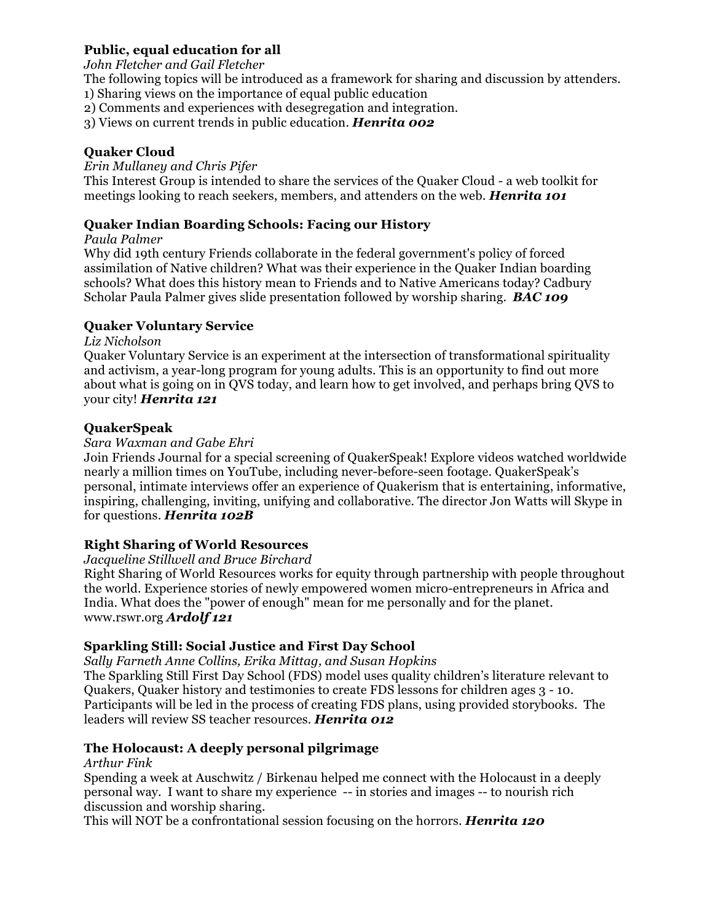# **Public, equal education for all**

#### *John Fletcher and Gail Fletcher*

The following topics will be introduced as a framework for sharing and discussion by attenders.

1) Sharing views on the importance of equal public education

2) Comments and experiences with desegregation and integration.

3) Views on current trends in public education. *Henrita 002*

### **Quaker Cloud**

#### *Erin Mullaney and Chris Pifer*

This Interest Group is intended to share the services of the Quaker Cloud - a web toolkit for meetings looking to reach seekers, members, and attenders on the web. *Henrita 101*

### **Quaker Indian Boarding Schools: Facing our History**

### *Paula Palmer*

Why did 19th century Friends collaborate in the federal government's policy of forced assimilation of Native children? What was their experience in the Quaker Indian boarding schools? What does this history mean to Friends and to Native Americans today? Cadbury Scholar Paula Palmer gives slide presentation followed by worship sharing. *BAC 109*

### **Quaker Voluntary Service**

### *Liz Nicholson*

Quaker Voluntary Service is an experiment at the intersection of transformational spirituality and activism, a year-long program for young adults. This is an opportunity to find out more about what is going on in QVS today, and learn how to get involved, and perhaps bring QVS to your city! *Henrita 121*

### **QuakerSpeak**

### *Sara Waxman and Gabe Ehri*

Join Friends Journal for a special screening of QuakerSpeak! Explore videos watched worldwide nearly a million times on YouTube, including never-before-seen footage. QuakerSpeak's personal, intimate interviews offer an experience of Quakerism that is entertaining, informative, inspiring, challenging, inviting, unifying and collaborative. The director Jon Watts will Skype in for questions. *Henrita 102B*

# **Right Sharing of World Resources**

### *Jacqueline Stillwell and Bruce Birchard*

Right Sharing of World Resources works for equity through partnership with people throughout the world. Experience stories of newly empowered women micro-entrepreneurs in Africa and India. What does the "power of enough" mean for me personally and for the planet. www.rswr.org *Ardolf 121*

# **Sparkling Still: Social Justice and First Day School**

*Sally Farneth Anne Collins, Erika Mittag, and Susan Hopkins*

The Sparkling Still First Day School (FDS) model uses quality children's literature relevant to Quakers, Quaker history and testimonies to create FDS lessons for children ages 3 - 10. Participants will be led in the process of creating FDS plans, using provided storybooks. The leaders will review SS teacher resources. *Henrita 012*

# **The Holocaust: A deeply personal pilgrimage**

### *Arthur Fink*

Spending a week at Auschwitz / Birkenau helped me connect with the Holocaust in a deeply personal way. I want to share my experience -- in stories and images -- to nourish rich discussion and worship sharing.

This will NOT be a confrontational session focusing on the horrors. *Henrita 120*